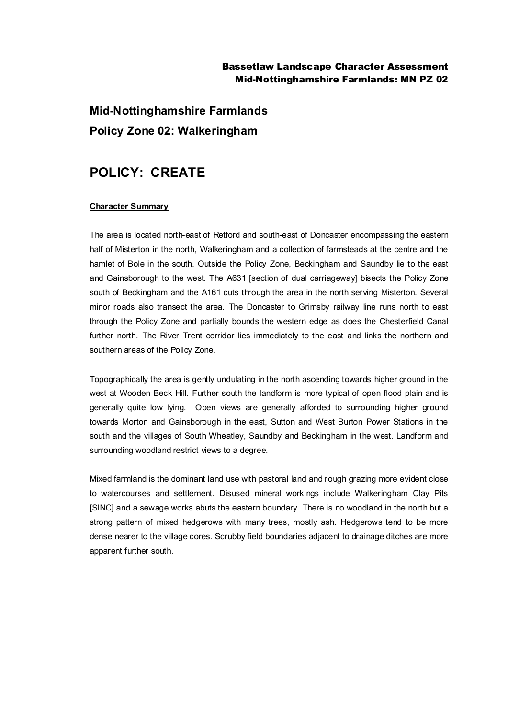### Bassetlaw Landscape Character Assessment Mid-Nottinghamshire Farmlands: MN PZ 02

# **Mid-Nottinghamshire Farmlands Policy Zone 02: Walkeringham**

## **POLICY: CREATE**

#### **Character Summary**

The area is located north-east of Retford and south-east of Doncaster encompassing the eastern half of Misterton in the north, Walkeringham and a collection of farmsteads at the centre and the hamlet of Bole in the south. Outside the Policy Zone, Beckingham and Saundby lie to the east and Gainsborough to the west. The A631 [section of dual carriageway] bisects the Policy Zone south of Beckingham and the A161 cuts through the area in the north serving Misterton. Several minor roads also transect the area. The Doncaster to Grimsby railway line runs north to east through the Policy Zone and partially bounds the western edge as does the Chesterfield Canal further north. The River Trent corridor lies immediately to the east and links the northern and southern areas of the Policy Zone.

Topographically the area is gently undulating in the north ascending towards higher ground in the west at Wooden Beck Hill. Further south the landform is more typical of open flood plain and is generally quite low lying. Open views are generally afforded to surrounding higher ground towards Morton and Gainsborough in the east, Sutton and West Burton Power Stations in the south and the villages of South Wheatley, Saundby and Beckingham in the west. Landform and surrounding woodland restrict views to a degree.

Mixed farmland is the dominant land use with pastoral land and rough grazing more evident close to watercourses and settlement. Disused mineral workings include Walkeringham Clay Pits [SINC] and a sewage works abuts the eastern boundary. There is no woodland in the north but a strong pattern of mixed hedgerows with many trees, mostly ash. Hedgerows tend to be more dense nearer to the village cores. Scrubby field boundaries adjacent to drainage ditches are more apparent further south.